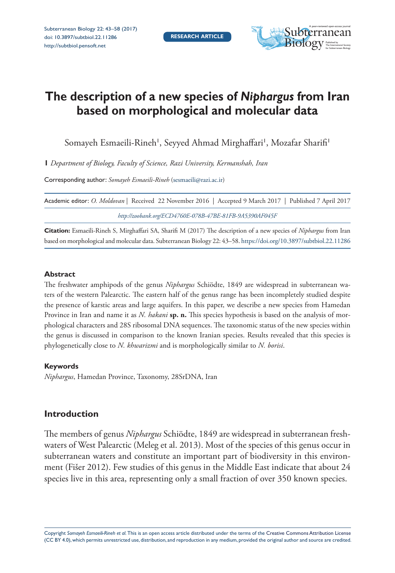

# **The description of a new species of** *Niphargus* **from Iran based on morphological and molecular data**

Somayeh Esmaeili-Rineh<sup>।</sup>, Seyyed Ahmad Mirghaffari<sup>।</sup>, Mozafar Sharifi<sup>।</sup>

**1** *Department of Biology, Faculty of Science, Razi University, Kermanshah, Iran*

Corresponding author: *Somayeh Esmaeili-Rineh* [\(sesmaeili@razi.ac.ir\)](mailto:sesmaeili@razi.ac.ir)

| Academic editor: O. Moldovan   Received 22 November 2016   Accepted 9 March 2017   Published 7 April 2017 |
|-----------------------------------------------------------------------------------------------------------|
| http://zoobank.org/ECD4760E-078B-47BE-81FB-9A5390AF045F                                                   |

**Citation:** Esmaeili-Rineh S, Mirghaffari SA, Sharifi M (2017) The description of a new species of *Niphargus* from Iran based on morphological and molecular data. Subterranean Biology 22: 43–58.<https://doi.org/10.3897/subtbiol.22.11286>

## **Abstract**

The freshwater amphipods of the genus *Niphargus* Schiödte, 1849 are widespread in subterranean waters of the western Palearctic. The eastern half of the genus range has been incompletely studied despite the presence of karstic areas and large aquifers. In this paper, we describe a new species from Hamedan Province in Iran and name it as *N. hakani* **sp. n.** This species hypothesis is based on the analysis of morphological characters and 28S ribosomal DNA sequences. The taxonomic status of the new species within the genus is discussed in comparison to the known Iranian species. Results revealed that this species is phylogenetically close to *N. khwarizmi* and is morphologically similar to *N. borisi*.

## **Keywords**

*Niphargus*, Hamedan Province, Taxonomy, 28SrDNA, Iran

# **Introduction**

The members of genus *Niphargus* Schiödte, 1849 are widespread in subterranean freshwaters of West Palearctic (Meleg et al. 2013). Most of the species of this genus occur in subterranean waters and constitute an important part of biodiversity in this environment (Fišer 2012). Few studies of this genus in the Middle East indicate that about 24 species live in this area, representing only a small fraction of over 350 known species.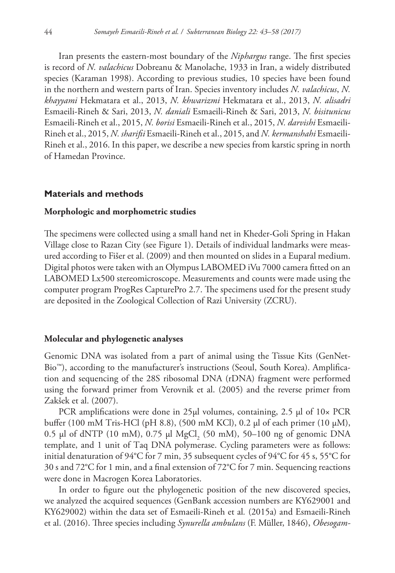Iran presents the eastern-most boundary of the *Niphargus* range. The first species is record of *N. valachicus* Dobreanu & Manolache, 1933 in Iran, a widely distributed species (Karaman 1998). According to previous studies, 10 species have been found in the northern and western parts of Iran. Species inventory includes *N. valachicus*, *N. khayyami* Hekmatara et al., 2013, *N. khwarizmi* Hekmatara et al., 2013, *N. alisadri*  Esmaeili-Rineh & Sari, 2013, *N. daniali* Esmaeili-Rineh & Sari, 2013, *N. bisitunicus* Esmaeili-Rineh et al., 2015, *N. borisi* Esmaeili-Rineh et al., 2015, *N. darvishi* Esmaeili-Rineh et al., 2015, *N. sharifii* Esmaeili-Rineh et al., 2015, and *N. kermanshahi* Esmaeili-Rineh et al., 2016. In this paper, we describe a new species from karstic spring in north of Hamedan Province.

## **Materials and methods**

#### **Morphologic and morphometric studies**

The specimens were collected using a small hand net in Kheder-Goli Spring in Hakan Village close to Razan City (see Figure 1). Details of individual landmarks were measured according to Fišer et al. (2009) and then mounted on slides in a Euparal medium. Digital photos were taken with an Olympus LABOMED iVu 7000 camera fitted on an LABOMED Lx500 stereomicroscope. Measurements and counts were made using the computer program ProgRes CapturePro 2.7. The specimens used for the present study are deposited in the Zoological Collection of Razi University (ZCRU).

### **Molecular and phylogenetic analyses**

Genomic DNA was isolated from a part of animal using the Tissue Kits (GenNet-Bio™), according to the manufacturer's instructions (Seoul, South Korea). Amplification and sequencing of the 28S ribosomal DNA (rDNA) fragment were performed using the forward primer from Verovnik et al. (2005) and the reverse primer from Zakšek et al. (2007).

PCR amplifications were done in 25μl volumes, containing, 2.5 μl of 10× PCR buffer (100 mM Tris-HCl (pH 8.8), (500 mM KCl), 0.2 μl of each primer (10 μM), 0.5 μl of dNTP (10 mM), 0.75 μl MgCl<sub>2</sub> (50 mM), 50–100 ng of genomic DNA template, and 1 unit of Taq DNA polymerase. Cycling parameters were as follows: initial denaturation of 94°C for 7 min, 35 subsequent cycles of 94°C for 45 s, 55°C for 30 s and 72°C for 1 min, and a final extension of 72°C for 7 min. Sequencing reactions were done in Macrogen Korea Laboratories.

In order to figure out the phylogenetic position of the new discovered species, we analyzed the acquired sequences (GenBank accession numbers are [KY629001](http://www.ncbi.nlm.nih.gov/nuccore/KY629001) and [KY629002](http://www.ncbi.nlm.nih.gov/nuccore/KY629002)) within the data set of Esmaeili-Rineh et al*.* (2015a) and Esmaeili-Rineh et al. (2016). Three species including *Synurella ambulans* (F. Müller, 1846), *Obesogam-*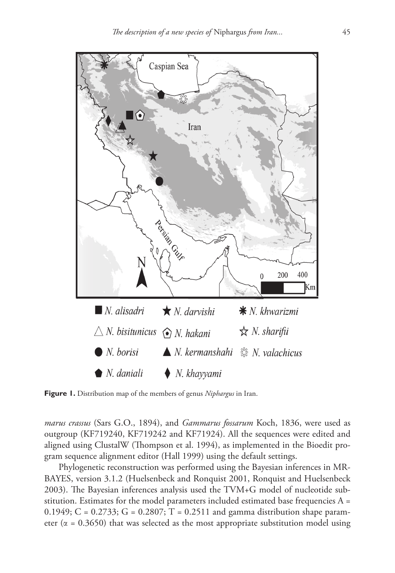

**Figure 1.** Distribution map of the members of genus *Niphargus* in Iran.

*marus crassus* (Sars G.O., 1894), and *Gammarus fossarum* Koch, 1836, were used as outgroup ([KF719240](http://www.ncbi.nlm.nih.gov/nuccore/KF719240), [KF719242](http://www.ncbi.nlm.nih.gov/nuccore/KF719242) and [KF71924\)](http://www.ncbi.nlm.nih.gov/nuccore/KF71924). All the sequences were edited and aligned using ClustalW (Thompson et al. 1994), as implemented in the Bioedit program sequence alignment editor (Hall 1999) using the default settings.

Phylogenetic reconstruction was performed using the Bayesian inferences in MR-BAYES, version 3.1.2 (Huelsenbeck and Ronquist 2001, Ronquist and Huelsenbeck 2003). The Bayesian inferences analysis used the TVM+G model of nucleotide substitution. Estimates for the model parameters included estimated base frequencies  $A =$ 0.1949; C = 0.2733; G = 0.2807; T = 0.2511 and gamma distribution shape parameter ( $\alpha$  = 0.3650) that was selected as the most appropriate substitution model using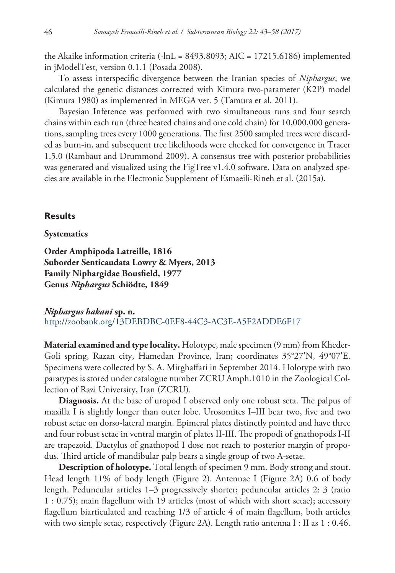the Akaike information criteria (-lnL =  $8493.8093$ ; AIC = 17215.6186) implemented in jModelTest, version 0.1.1 (Posada 2008).

To assess interspecific divergence between the Iranian species of *Niphargus*, we calculated the genetic distances corrected with Kimura two-parameter (K2P) model (Kimura 1980) as implemented in MEGA ver. 5 (Tamura et al. 2011).

Bayesian Inference was performed with two simultaneous runs and four search chains within each run (three heated chains and one cold chain) for 10,000,000 generations, sampling trees every 1000 generations. The first 2500 sampled trees were discarded as burn-in, and subsequent tree likelihoods were checked for convergence in Tracer 1.5.0 (Rambaut and Drummond 2009). A consensus tree with posterior probabilities was generated and visualized using the FigTree v1.4.0 software. Data on analyzed species are available in the Electronic Supplement of Esmaeili-Rineh et al. (2015a).

## **Results**

#### **Systematics**

**Order Amphipoda Latreille, 1816 Suborder Senticaudata Lowry & Myers, 2013 Family Niphargidae Bousfield, 1977 Genus** *Niphargus* **Schiödte, 1849**

## *Niphargus hakani* **sp. n.** <http://zoobank.org/13DEBDBC-0EF8-44C3-AC3E-A5F2ADDE6F17>

**Material examined and type locality.** Holotype, male specimen (9 mm) from Kheder-Goli spring, Razan city, Hamedan Province, Iran; coordinates 35°27'N, 49°07'E. Specimens were collected by S. A. Mirghaffari in September 2014. Holotype with two paratypes is stored under catalogue number ZCRU Amph.1010 in the Zoological Collection of Razi University, Iran (ZCRU).

**Diagnosis.** At the base of uropod I observed only one robust seta. The palpus of maxilla I is slightly longer than outer lobe. Urosomites I–III bear two, five and two robust setae on dorso-lateral margin. Epimeral plates distinctly pointed and have three and four robust setae in ventral margin of plates II-III. The propodi of gnathopods I-II are trapezoid. Dactylus of gnathopod I dose not reach to posterior margin of propodus. Third article of mandibular palp bears a single group of two A-setae.

**Description of holotype.** Total length of specimen 9 mm. Body strong and stout. Head length 11% of body length (Figure 2). Antennae I (Figure 2A) 0.6 of body length. Peduncular articles 1–3 progressively shorter; peduncular articles 2: 3 (ratio 1 : 0.75); main flagellum with 19 articles (most of which with short setae); accessory flagellum biarticulated and reaching 1/3 of article 4 of main flagellum, both articles with two simple setae, respectively (Figure 2A). Length ratio antenna I : II as 1 : 0.46.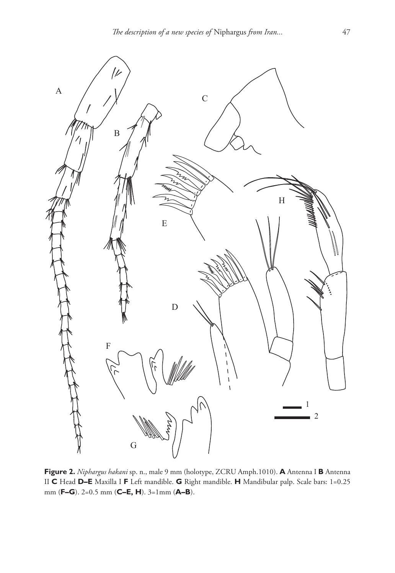

**Figure 2.** *Niphargus hakani* sp. n., male 9 mm (holotype, ZCRU Amph.1010). **A** Antenna I **B** Antenna II **C** Head **D–E** Maxilla I **F** Left mandible. **G** Right mandible. **H** Mandibular palp. Scale bars: 1=0.25 mm (**F–G**). 2=0.5 mm (**C–E, H**). 3=1mm (**A–B**).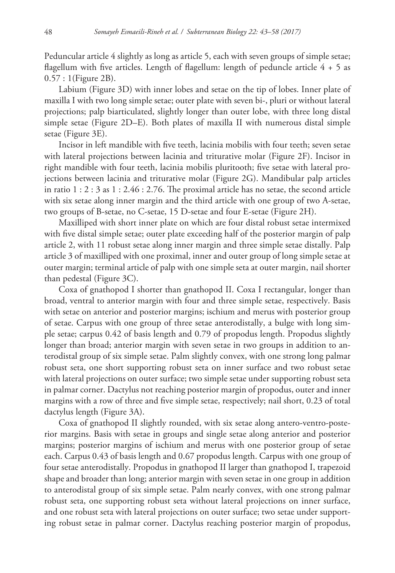Peduncular article 4 slightly as long as article 5, each with seven groups of simple setae; flagellum with five articles. Length of flagellum: length of peduncle article  $4 + 5$  as 0.57 : 1(Figure 2B).

Labium (Figure 3D) with inner lobes and setae on the tip of lobes. Inner plate of maxilla I with two long simple setae; outer plate with seven bi-, pluri or without lateral projections; palp biarticulated, slightly longer than outer lobe, with three long distal simple setae (Figure 2D–E). Both plates of maxilla II with numerous distal simple setae (Figure 3E).

Incisor in left mandible with five teeth, lacinia mobilis with four teeth; seven setae with lateral projections between lacinia and triturative molar (Figure 2F). Incisor in right mandible with four teeth, lacinia mobilis pluritooth; five setae with lateral projections between lacinia and triturative molar (Figure 2G). Mandibular palp articles in ratio 1 : 2 : 3 as 1 : 2.46 : 2.76. The proximal article has no setae, the second article with six setae along inner margin and the third article with one group of two A-setae, two groups of B-setae, no C-setae, 15 D-setae and four E-setae (Figure 2H).

Maxilliped with short inner plate on which are four distal robust setae intermixed with five distal simple setae; outer plate exceeding half of the posterior margin of palp article 2, with 11 robust setae along inner margin and three simple setae distally. Palp article 3 of maxilliped with one proximal, inner and outer group of long simple setae at outer margin; terminal article of palp with one simple seta at outer margin, nail shorter than pedestal (Figure 3C).

Coxa of gnathopod I shorter than gnathopod II. Coxa I rectangular, longer than broad, ventral to anterior margin with four and three simple setae, respectively. Basis with setae on anterior and posterior margins; ischium and merus with posterior group of setae. Carpus with one group of three setae anterodistally, a bulge with long simple setae; carpus 0.42 of basis length and 0.79 of propodus length. Propodus slightly longer than broad; anterior margin with seven setae in two groups in addition to anterodistal group of six simple setae. Palm slightly convex, with one strong long palmar robust seta, one short supporting robust seta on inner surface and two robust setae with lateral projections on outer surface; two simple setae under supporting robust seta in palmar corner. Dactylus not reaching posterior margin of propodus, outer and inner margins with a row of three and five simple setae, respectively; nail short, 0.23 of total dactylus length (Figure 3A).

Coxa of gnathopod II slightly rounded, with six setae along antero-ventro-posterior margins. Basis with setae in groups and single setae along anterior and posterior margins; posterior margins of ischium and merus with one posterior group of setae each. Carpus 0.43 of basis length and 0.67 propodus length. Carpus with one group of four setae anterodistally. Propodus in gnathopod II larger than gnathopod I, trapezoid shape and broader than long; anterior margin with seven setae in one group in addition to anterodistal group of six simple setae. Palm nearly convex, with one strong palmar robust seta, one supporting robust seta without lateral projections on inner surface, and one robust seta with lateral projections on outer surface; two setae under supporting robust setae in palmar corner. Dactylus reaching posterior margin of propodus,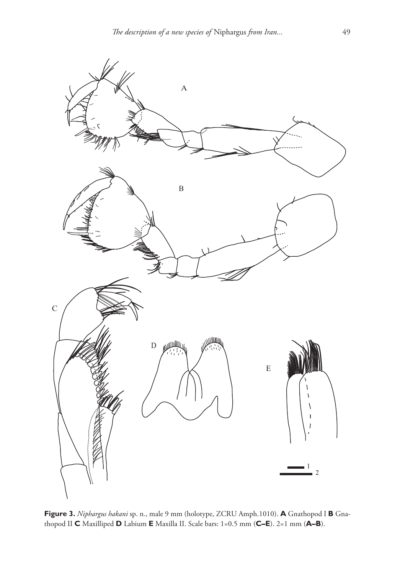

**Figure 3.** *Niphargus hakani* sp. n., male 9 mm (holotype, ZCRU Amph.1010). **A** Gnathopod I **B** Gnathopod II **C** Maxilliped **D** Labium **E** Maxilla II. Scale bars: 1=0.5 mm (**C–E**). 2=1 mm (**A–B**).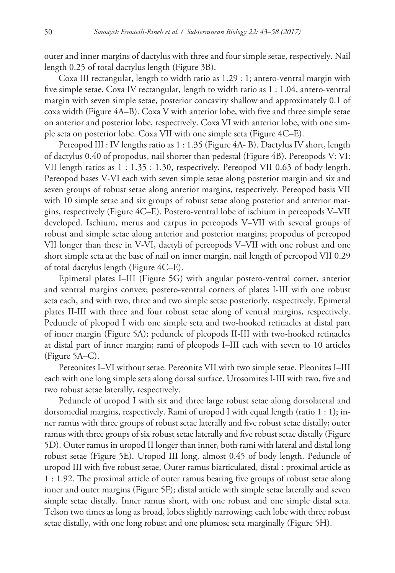outer and inner margins of dactylus with three and four simple setae, respectively. Nail length 0.25 of total dactylus length (Figure 3B).

Coxa III rectangular, length to width ratio as 1.29 : 1; antero-ventral margin with five simple setae. Coxa IV rectangular, length to width ratio as 1 : 1.04, antero-ventral margin with seven simple setae, posterior concavity shallow and approximately 0.1 of coxa width (Figure 4A–B). Coxa V with anterior lobe, with five and three simple setae on anterior and posterior lobe, respectively. Coxa VI with anterior lobe, with one simple seta on posterior lobe. Coxa VII with one simple seta (Figure 4C–E).

Pereopod III : IV lengths ratio as 1 : 1.35 (Figure 4A- B). Dactylus IV short, length of dactylus 0.40 of propodus, nail shorter than pedestal (Figure 4B). Pereopods V: VI: VII length ratios as 1 : 1.35 : 1.30, respectively. Pereopod VII 0.63 of body length. Pereopod bases V-VI each with seven simple setae along posterior margin and six and seven groups of robust setae along anterior margins, respectively. Pereopod basis VII with 10 simple setae and six groups of robust setae along posterior and anterior margins, respectively (Figure 4C–E). Postero-ventral lobe of ischium in pereopods V–VII developed. Ischium, merus and carpus in pereopods V–VII with several groups of robust and simple setae along anterior and posterior margins; propodus of pereopod VII longer than these in V-VI, dactyli of pereopods V–VII with one robust and one short simple seta at the base of nail on inner margin, nail length of pereopod VII 0.29 of total dactylus length (Figure 4C–E).

Epimeral plates I–III (Figure 5G) with angular postero-ventral corner, anterior and ventral margins convex; postero-ventral corners of plates I-III with one robust seta each, and with two, three and two simple setae posteriorly, respectively. Epimeral plates II-III with three and four robust setae along of ventral margins, respectively. Peduncle of pleopod I with one simple seta and two-hooked retinacles at distal part of inner margin (Figure 5A); peduncle of pleopods II-III with two-hooked retinacles at distal part of inner margin; rami of pleopods I–III each with seven to 10 articles (Figure 5A–C).

Pereonites I–VI without setae. Pereonite VII with two simple setae. Pleonites I–III each with one long simple seta along dorsal surface. Urosomites I-III with two, five and two robust setae laterally, respectively.

Peduncle of uropod I with six and three large robust setae along dorsolateral and dorsomedial margins, respectively. Rami of uropod I with equal length (ratio 1 : 1); inner ramus with three groups of robust setae laterally and five robust setae distally; outer ramus with three groups of six robust setae laterally and five robust setae distally (Figure 5D). Outer ramus in uropod II longer than inner, both rami with lateral and distal long robust setae (Figure 5E). Uropod III long, almost 0.45 of body length. Peduncle of uropod III with five robust setae, Outer ramus biarticulated, distal : proximal article as 1 : 1.92. The proximal article of outer ramus bearing five groups of robust setae along inner and outer margins (Figure 5F); distal article with simple setae laterally and seven simple setae distally. Inner ramus short, with one robust and one simple distal seta. Telson two times as long as broad, lobes slightly narrowing; each lobe with three robust setae distally, with one long robust and one plumose seta marginally (Figure 5H).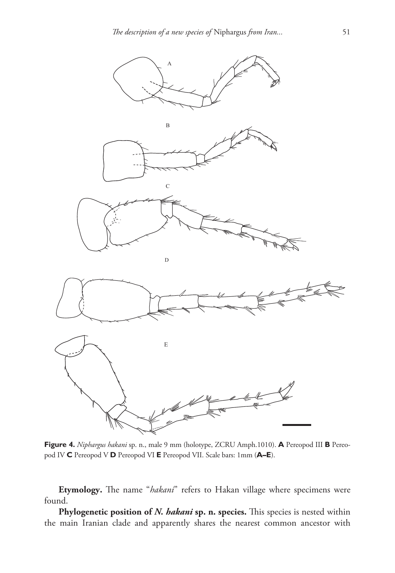

**Figure 4.** *Niphargus hakani* sp. n., male 9 mm (holotype, ZCRU Amph.1010). **A** Pereopod III **B** Pereopod IV **C** Pereopod V **D** Pereopod VI **E** Pereopod VII. Scale bars: 1mm (**A–E**).

**Etymology.** The name "*hakani*" refers to Hakan village where specimens were found.

Phylogenetic position of *N. hakani* sp. n. species. This species is nested within the main Iranian clade and apparently shares the nearest common ancestor with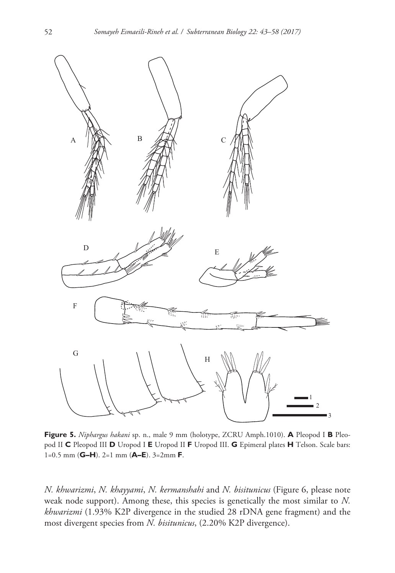

**Figure 5.** *Niphargus hakani* sp. n., male 9 mm (holotype, ZCRU Amph.1010). **A** Pleopod I **B** Pleopod II **C** Pleopod III **D** Uropod I **E** Uropod II **F** Uropod III. **G** Epimeral plates **H** Telson. Scale bars: 1=0.5 mm (**G–H**). 2=1 mm (**A–E**). 3=2mm **F**.

*N. khwarizmi*, *N. khayyami*, *N. kermanshahi* and *N. bisitunicus* (Figure 6, please note weak node support). Among these, this species is genetically the most similar to *N. khwarizmi* (1.93% K2P divergence in the studied 28 rDNA gene fragment) and the most divergent species from *N. bisitunicus*, (2.20% K2P divergence).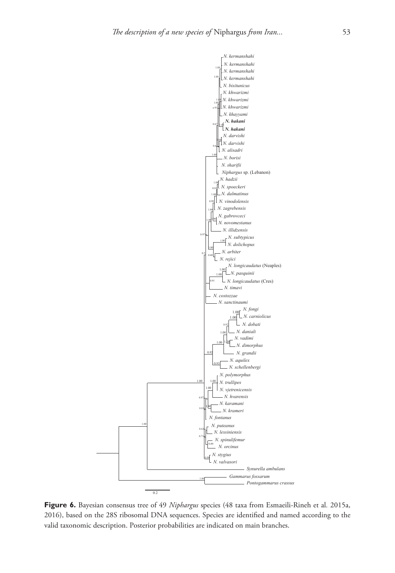

**Figure 6.** Bayesian consensus tree of 49 *Niphargus* species (48 taxa from Esmaeili-Rineh et al*.* 2015a, 2016), based on the 28S ribosomal DNA sequences. Species are identified and named according to the valid taxonomic description. Posterior probabilities are indicated on main branches.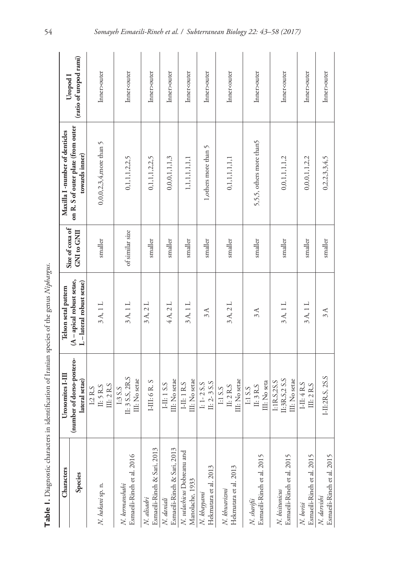| )                              |
|--------------------------------|
| í<br>j                         |
| ١                              |
| i                              |
|                                |
| an anas<br>ı                   |
|                                |
| Į                              |
|                                |
| ţ                              |
|                                |
| -<br>-<br>-                    |
| i                              |
|                                |
| i<br>١<br>ĺ                    |
|                                |
|                                |
| )<br>}<br>$\frac{1}{\epsilon}$ |
|                                |

| Characters                                    | Urosomites I-III                              | Telson setal pattern                               | Size of coxa of    | Maxilla I-number of denticles                        | Uropod <sub>1</sub>           |
|-----------------------------------------------|-----------------------------------------------|----------------------------------------------------|--------------------|------------------------------------------------------|-------------------------------|
| Species                                       | (number of dorso-postero-<br>lateral setae)   | (A-apical robust setae,<br>L-lateral robust setae) | <b>GNI</b> to GNII | on R. S of outer plate (from outer<br>towards inner) | (ratio of uropod rami)        |
|                                               | <b>I:2 R.S</b>                                |                                                    |                    |                                                      |                               |
| N. hakani sp. n.                              | III: 2 R.S<br>II: 5 R.S                       | 3A, 1L                                             | smaller            | 0,0,0,2,3,4,more than 5                              | Inner>outer                   |
| Esmaeili-Rineh et al. 2016<br>N. kermanshahi  | II: 3 S.S, 2R.S<br>III: No setae<br>I:3 S.S   | 3A, 1L                                             | of similar size    | 0,1,1,1,2,2,5                                        | Inner <outer< td=""></outer<> |
| Esmaeili-Rinch & Sari, 2013<br>N. alisadri    | I-III: 6 R. S                                 | 3 A, 2 L                                           | smaller            | 0,1,1,1,2,2,5                                        | Inner>outer                   |
| Esmaeili-Rineh & Sari, 2013<br>N. daniali     | II: No setae<br>I-II: 1 S.S                   | 4A, 2L                                             | smaller            | 0,0,0,1,1,3                                          | Inner>outer                   |
| N. valachicus Dobreanu and<br>Manolache, 1933 | III: No setae<br>$I-II: 1 R.S$                | 3A, 1L                                             | smaller            | 1, 1, 1, 1, 1, 1, 1                                  | Inner <outer< td=""></outer<> |
| Hekmatara et al. 2013<br>N. khayyami          | II: $2-3$ S.S<br>$1: 1 - 2S.S$                | 3A                                                 | smaller            | 1, others more than 5                                | Inner>outer                   |
| Hekmatara et al. 2013<br>N. khwarizmi         | III: No setae<br>II: 2 R.S<br>I:1 S.S         | 3A, 2L                                             | smaller            | 0,1,1,1,1,1,1                                        | Inner <outer< td=""></outer<> |
| Esmaeili-Rineh et al. 2015<br>N. sharifii     | III: No seta<br>II: 3 R.S<br>I:1 S.S          | 3A                                                 | smaller            | 5,5,5, others more than5                             | Inner>outer                   |
| Esmaeili-Rineh et al. 2015<br>N. bisitunicus  | II:3R.S,2 S.S<br>III: No setae<br>1:1R.S.2S.S | 3A, 1 L                                            | smaller            | 0,0,1,1,1,1,2                                        | Inner <outer< td=""></outer<> |
| Esmaeili-Rinch et al. 2015<br>N. borisi       | $1 - II: 4 R.S$<br>III: 2 R.S                 | 3A, 1L                                             | smaller            | 0,0,0,1,1,2,2                                        | Inner>outer                   |
| Esmaeili-Rineh et al. 2015<br>N. darvishi     | I-II:2R.S, 2S.S                               | 3A                                                 | smaller            | 0,2,2,3,3,4,5                                        | Inner>outer                   |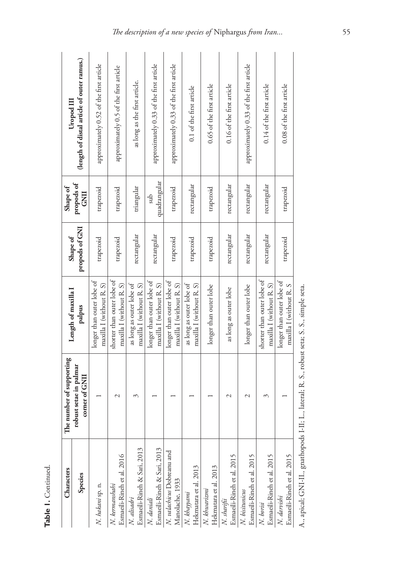| Characters                                                                                 | The number of supporting                 |                                                        |                            | Shape of            |                                                          |
|--------------------------------------------------------------------------------------------|------------------------------------------|--------------------------------------------------------|----------------------------|---------------------|----------------------------------------------------------|
| Species                                                                                    | robust setae in palmar<br>corner of GNII | Length of maxilla I<br>palpus                          | propods of GNI<br>Shape of | propods of<br>GNII  | (length of distal article of outer ramus.)<br>Uropod III |
| N. hakani sp. n.                                                                           |                                          | longer than outer lobe of<br>maxilla I (without R. S)  | trapezoid                  | trapezoid           | approximately 0.52 of the first article                  |
| <i>N. kermanshahi</i><br>Esmæili-Rineh et al. 2016                                         | 2                                        | shorter than outer lobe of<br>maxilla I (without R. S) | trapezoid                  | trapezoid           | approximately 0.5 of the first article                   |
| Esmaeili-Rineh & Sari, 2013<br>N. alisadri                                                 | 3                                        | as long as outer lobe of<br>maxilla I (without R. S)   | rectangular                | triangular          | as long as the first article.                            |
| <i>N. daniali</i><br>Esmaeili-Rineh & Sari, 2013                                           |                                          | longer than outer lobe of<br>maxilla I (without R. S)  | rectangular                | quadrangular<br>sub | approximately 0.33 of the first article                  |
| N. valachicus Dobreanu and<br>Manolache, 1933                                              |                                          | longer than outer lobe of<br>maxilla I (without R. S)  | trapezoid                  | trapezoid           | approximately 0.33 of the first article                  |
| Hekmatara et al. 2013<br>N. khayyami                                                       |                                          | as long as outer lobe of<br>maxilla I (without R. S)   | trapezoid                  | rectangular         | 0.1 of the first article                                 |
| Hekmatara et al. 2013<br>N. khuarizmi                                                      |                                          | longer than outer lobe                                 | trapezoid                  | trapezoid           | 0.65 of the first article                                |
| Esmaeili-Rinch et al. 2015<br>N. sharifii                                                  | 2                                        | as long as outer lobe                                  | rectangular                | rectangular         | 0.16 of the first article                                |
| Esmaeili-Rineh et al. 2015<br>N. bisitunicus                                               | $\mathcal{L}$                            | longer than outer lobe                                 | rectangular                | rectangular         | approximately 0.33 of the first article                  |
| Esmaeili-Rineh et al. 2015<br>N. borisi                                                    | 3                                        | shorter than outer lobe of<br>maxilla I (without R. S) | rectangular                | rectangular         | 0.14 of the first article                                |
| Esmaeili-Rineh et al. 2015<br>N. darvishi                                                  |                                          | longer than outer lobe of<br>maxilla I (without R. S   | trapezoid                  | trapezoid           | 0.08 of the first article                                |
| A., apical; GNI-II., gnathopods I-II; L., lateral; R. S., robust seta; S. S., simple seta. |                                          |                                                        |                            |                     |                                                          |

**Table 1.** Continued.

Table 1. Continued.

| أحده حداده المصدود                                                                      |  |
|-----------------------------------------------------------------------------------------|--|
|                                                                                         |  |
| J                                                                                       |  |
| $\frac{1}{2}$                                                                           |  |
|                                                                                         |  |
| ì                                                                                       |  |
| $\overline{a}$                                                                          |  |
|                                                                                         |  |
| $\vdots$<br>I                                                                           |  |
| i<br>Ï                                                                                  |  |
|                                                                                         |  |
| $\frac{1}{2}$                                                                           |  |
| -------<br>í<br>I                                                                       |  |
| î                                                                                       |  |
| ׇׅׅ֧֧֧֧֧֧֧֪ׅ֧֧֧֪ׅ֧֧֪֧֪ׅ֧֪ׅ֧֚֚֚֚֚֚֚֚֚֚֚֚֚֚֚֚֚֚֚֚֚֚֚֚֚֚֚֚֚֡֬֡֡֡֓֡֡֡֬֓֡֡֬֓֓֓֓֓֓֓֝֬֝֬֓<br>1 |  |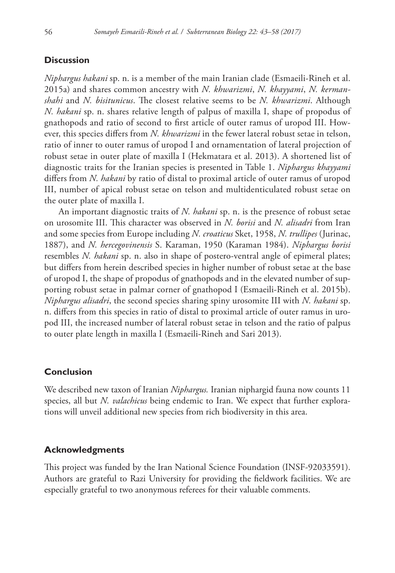## **Discussion**

*Niphargus hakani* sp. n. is a member of the main Iranian clade (Esmaeili-Rineh et al. 2015a) and shares common ancestry with *N. khwarizmi*, *N. khayyami*, *N. kermanshahi* and *N. bisitunicus*. The closest relative seems to be *N. khwarizmi*. Although *N. hakani* sp. n. shares relative length of palpus of maxilla I, shape of propodus of gnathopods and ratio of second to first article of outer ramus of uropod III. However, this species differs from *N. khwarizmi* in the fewer lateral robust setae in telson, ratio of inner to outer ramus of uropod I and ornamentation of lateral projection of robust setae in outer plate of maxilla I (Hekmatara et al. 2013). A shortened list of diagnostic traits for the Iranian species is presented in Table 1. *Niphargus khayyami* differs from *N. hakani* by ratio of distal to proximal article of outer ramus of uropod III, number of apical robust setae on telson and multidenticulated robust setae on the outer plate of maxilla I.

An important diagnostic traits of *N. hakani* sp. n. is the presence of robust setae on urosomite III. This character was observed in *N. borisi* and *N. alisadri* from Iran and some species from Europe including *N. croaticus* Sket, 1958, *N. trullipes* (Jurinac, 1887), and *N. hercegovinensis* S. Karaman, 1950 (Karaman 1984). *Niphargus borisi* resembles *N. hakani* sp. n. also in shape of postero-ventral angle of epimeral plates; but differs from herein described species in higher number of robust setae at the base of uropod I, the shape of propodus of gnathopods and in the elevated number of supporting robust setae in palmar corner of gnathopod I (Esmaeili-Rineh et al. 2015b). *Niphargus alisadri*, the second species sharing spiny urosomite III with *N. hakani* sp. n. differs from this species in ratio of distal to proximal article of outer ramus in uropod III, the increased number of lateral robust setae in telson and the ratio of palpus to outer plate length in maxilla I (Esmaeili-Rineh and Sari 2013).

# **Conclusion**

We described new taxon of Iranian *Niphargus.* Iranian niphargid fauna now counts 11 species, all but *N. valachicus* being endemic to Iran. We expect that further explorations will unveil additional new species from rich biodiversity in this area.

## **Acknowledgments**

This project was funded by the Iran National Science Foundation (INSF-92033591). Authors are grateful to Razi University for providing the fieldwork facilities. We are especially grateful to two anonymous referees for their valuable comments.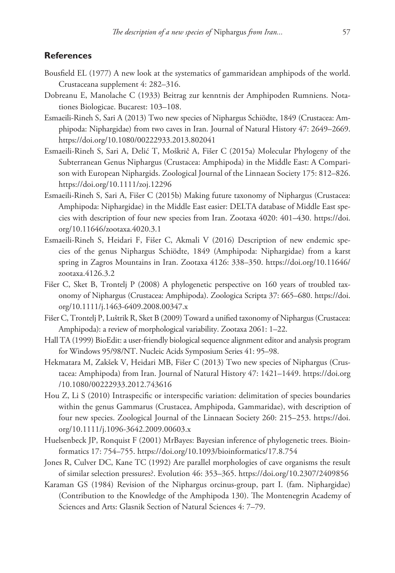#### **References**

- Bousfield EL (1977) A new look at the systematics of gammaridean amphipods of the world. Crustaceana supplement 4: 282–316.
- Dobreanu E, Manolache C (1933) Beitrag zur kenntnis der Amphipoden Rumniens. Notationes Biologicae. Bucarest: 103–108.
- Esmaeili-Rineh S, Sari A (2013) Two new species of Niphargus Schiödte, 1849 (Crustacea: Amphipoda: Niphargidae) from two caves in Iran. Journal of Natural History 47: 2649–2669. <https://doi.org/10.1080/00222933.2013.802041>
- Esmaeili-Rineh S, Sari A, Delić T, Moškrič A, Fišer C (2015a) Molecular Phylogeny of the Subterranean Genus Niphargus (Crustacea: Amphipoda) in the Middle East: A Comparison with European Niphargids. Zoological Journal of the Linnaean Society 175: 812–826. <https://doi.org/10.1111/zoj.12296>
- Esmaeili-Rineh S, Sari A, Fišer C (2015b) Making future taxonomy of Niphargus (Crustacea: Amphipoda: Niphargidae) in the Middle East easier: DELTA database of Middle East species with description of four new species from Iran. Zootaxa 4020: 401–430. [https://doi.](https://doi.org/10.11646/zootaxa.4020.3.1) [org/10.11646/zootaxa.4020.3.1](https://doi.org/10.11646/zootaxa.4020.3.1)
- Esmaeili-Rineh S, Heidari F, Fišer C, Akmali V (2016) Description of new endemic species of the genus Niphargus Schiödte, 1849 (Amphipoda: Niphargidae) from a karst spring in Zagros Mountains in Iran. Zootaxa 4126: 338–350. [https://doi.org/10.11646/](https://doi.org/10.11646/zootaxa.4126.3.2) [zootaxa.4126.3.2](https://doi.org/10.11646/zootaxa.4126.3.2)
- Fišer C, Sket B, Trontelj P (2008) A phylogenetic perspective on 160 years of troubled taxonomy of Niphargus (Crustacea: Amphipoda). Zoologica Scripta 37: 665–680. [https://doi.](https://doi.org/10.1111/j.1463-6409.2008.00347.x) [org/10.1111/j.1463-6409.2008.00347.x](https://doi.org/10.1111/j.1463-6409.2008.00347.x)
- Fišer C, Trontelj P, Luštrik R, Sket B (2009) Toward a unified taxonomy of Niphargus (Crustacea: Amphipoda): a review of morphological variability. Zootaxa 2061: 1–22.
- Hall TA (1999) BioEdit: a user-friendly biological sequence alignment editor and analysis program for Windows 95/98/NT. Nucleic Acids Symposium Series 41: 95–98.
- Hekmatara M, Zakšek V, Heidari MB, Fišer C (2013) Two new species of Niphargus (Crustacea: Amphipoda) from Iran. Journal of Natural History 47: 1421–1449. [https://doi.org](https://doi.org/10.1080/00222933.2012.743616) [/10.1080/00222933.2012.743616](https://doi.org/10.1080/00222933.2012.743616)
- Hou Z, Li S (2010) Intraspecific or interspecific variation: delimitation of species boundaries within the genus Gammarus (Crustacea, Amphipoda, Gammaridae), with description of four new species. Zoological Journal of the Linnaean Society 260: 215–253. [https://doi.](https://doi.org/10.1111/j.1096-3642.2009.00603.x) [org/10.1111/j.1096-3642.2009.00603.x](https://doi.org/10.1111/j.1096-3642.2009.00603.x)
- Huelsenbeck JP, Ronquist F (2001) MrBayes: Bayesian inference of phylogenetic trees. Bioinformatics 17: 754–755. <https://doi.org/10.1093/bioinformatics/17.8.754>
- Jones R, Culver DC, Kane TC (1992) Are parallel morphologies of cave organisms the result of similar selection pressures?. Evolution 46: 353–365. <https://doi.org/10.2307/2409856>
- Karaman GS (1984) Revision of the Niphargus orcinus-group, part I. (fam. Niphargidae) (Contribution to the Knowledge of the Amphipoda 130). The Montenegrin Academy of Sciences and Arts: Glasnik Section of Natural Sciences 4: 7–79.